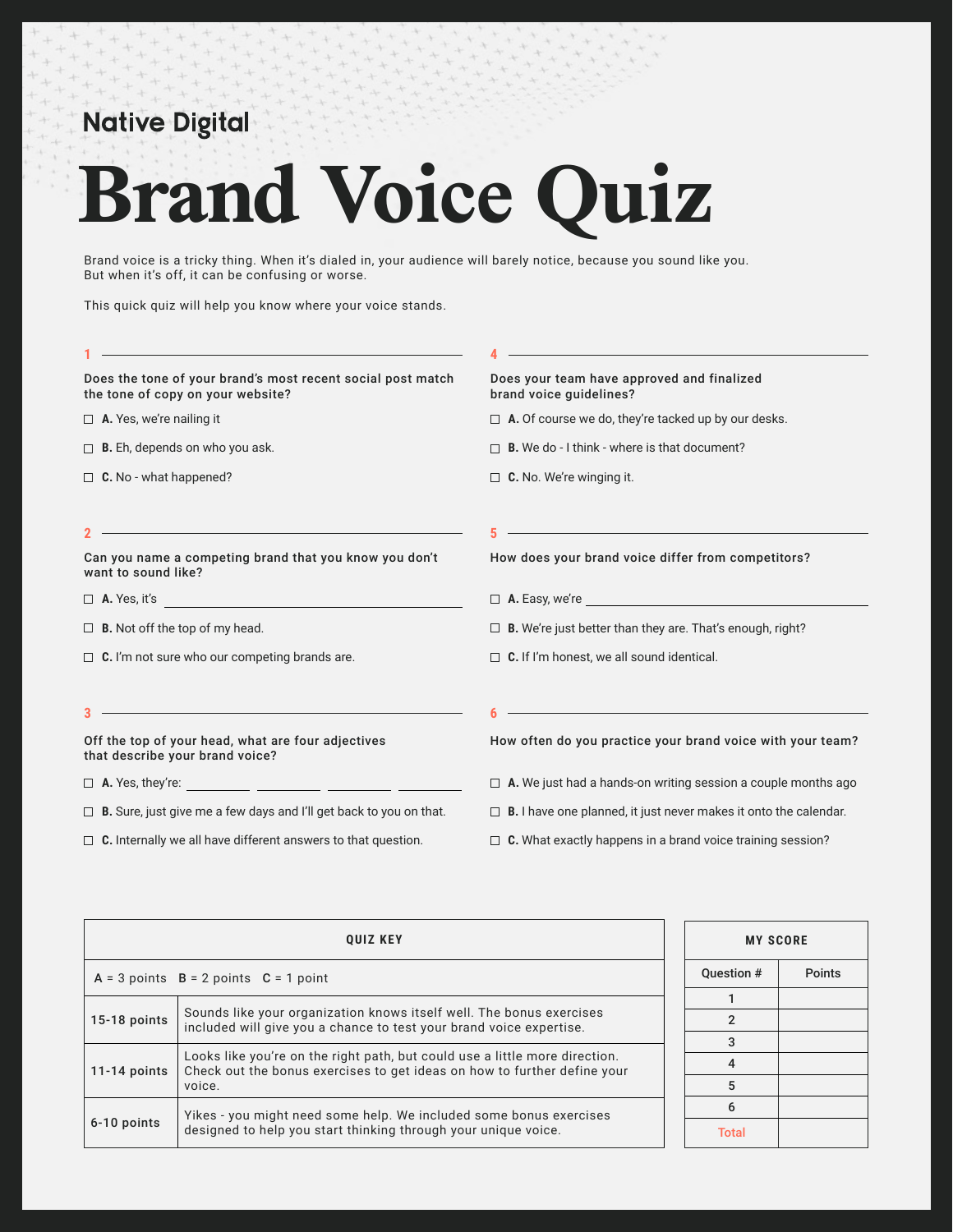## **Native Digital**

## **Brand Voice Quiz**

Brand voice is a tricky thing. When it's dialed in, your audience will barely notice, because you sound like you. But when it's off, it can be confusing or worse.

This quick quiz will help you know where your voice stands.

| the control of the control of the control of the control of the control of the control of the control of the control of the control of the control of the control of the control of the control of the control of the control |                                                                                                                        |
|-------------------------------------------------------------------------------------------------------------------------------------------------------------------------------------------------------------------------------|------------------------------------------------------------------------------------------------------------------------|
| Does the tone of your brand's most recent social post match<br>the tone of copy on your website?                                                                                                                              | Does your team have approved and finalized<br>brand voice quidelines?                                                  |
| $\Box$ <b>A.</b> Yes, we're nailing it                                                                                                                                                                                        | $\Box$ A. Of course we do, they're tacked up by our desks.                                                             |
| $\Box$ <b>B.</b> Eh, depends on who you ask.                                                                                                                                                                                  | <b>B.</b> We do - I think - where is that document?                                                                    |
| $\Box$ C. No - what happened?                                                                                                                                                                                                 | $\Box$ C. No. We're winging it.                                                                                        |
| <u> 1989 - Johann Stoff, deutscher Stoff, der Stoff, der Stoff, der Stoff, der Stoff, der Stoff, der Stoff, der S</u>                                                                                                         | <u> 1989 - Johann Barn, mars ann an t-Amhain Aonaich an t-Aonaich an t-Aonaich ann an t-Aonaich ann an t-Aonaich</u>   |
| Can you name a competing brand that you know you don't<br>want to sound like?                                                                                                                                                 | How does your brand voice differ from competitors?                                                                     |
| $\Box$ A. Yes, it's                                                                                                                                                                                                           |                                                                                                                        |
| $\Box$ <b>B.</b> Not off the top of my head.                                                                                                                                                                                  | $\Box$ <b>B.</b> We're just better than they are. That's enough, right?                                                |
| $\Box$ C. I'm not sure who our competing brands are.                                                                                                                                                                          | $\Box$ C. If I'm honest, we all sound identical.                                                                       |
| <u> 1989 - Johann Barn, amerikansk politiker (d. 1989)</u>                                                                                                                                                                    | <u> 1989 - Johann Stoff, deutscher Stoffen und der Stoffen und der Stoffen und der Stoffen und der Stoffen und der</u> |
| Off the top of your head, what are four adjectives<br>that describe your brand voice?                                                                                                                                         | How often do you practice your brand voice with your team?                                                             |
|                                                                                                                                                                                                                               | $\Box$ <b>A.</b> We just had a hands-on writing session a couple months ago                                            |
| $\Box$ <b>B.</b> Sure, just give me a few days and I'll get back to you on that.                                                                                                                                              | $\Box$ <b>B.</b> I have one planned, it just never makes it onto the calendar.                                         |
| $\Box$ C. Internally we all have different answers to that question.                                                                                                                                                          | $\Box$ C. What exactly happens in a brand voice training session?                                                      |

| <b>OUIZ KEY</b>                                                                      |                                                                                                                                                         | <b>MY SCORE</b> |              |               |
|--------------------------------------------------------------------------------------|---------------------------------------------------------------------------------------------------------------------------------------------------------|-----------------|--------------|---------------|
|                                                                                      | $A = 3$ points $B = 2$ points $C = 1$ point                                                                                                             | Question #      |              | <b>Points</b> |
| Sounds like your organization knows itself well. The bonus exercises<br>15-18 points |                                                                                                                                                         |                 |              |               |
|                                                                                      | included will give you a chance to test your brand voice expertise.                                                                                     | $\mathfrak{p}$  |              |               |
|                                                                                      |                                                                                                                                                         | 3               |              |               |
| $11-14$ points<br>voice.                                                             | Looks like you're on the right path, but could use a little more direction.<br>Check out the bonus exercises to get ideas on how to further define your | 4               |              |               |
|                                                                                      |                                                                                                                                                         | 5               |              |               |
|                                                                                      | Yikes - you might need some help. We included some bonus exercises                                                                                      | 6               |              |               |
| 6-10 points                                                                          | designed to help you start thinking through your unique voice.                                                                                          |                 | <b>Total</b> |               |